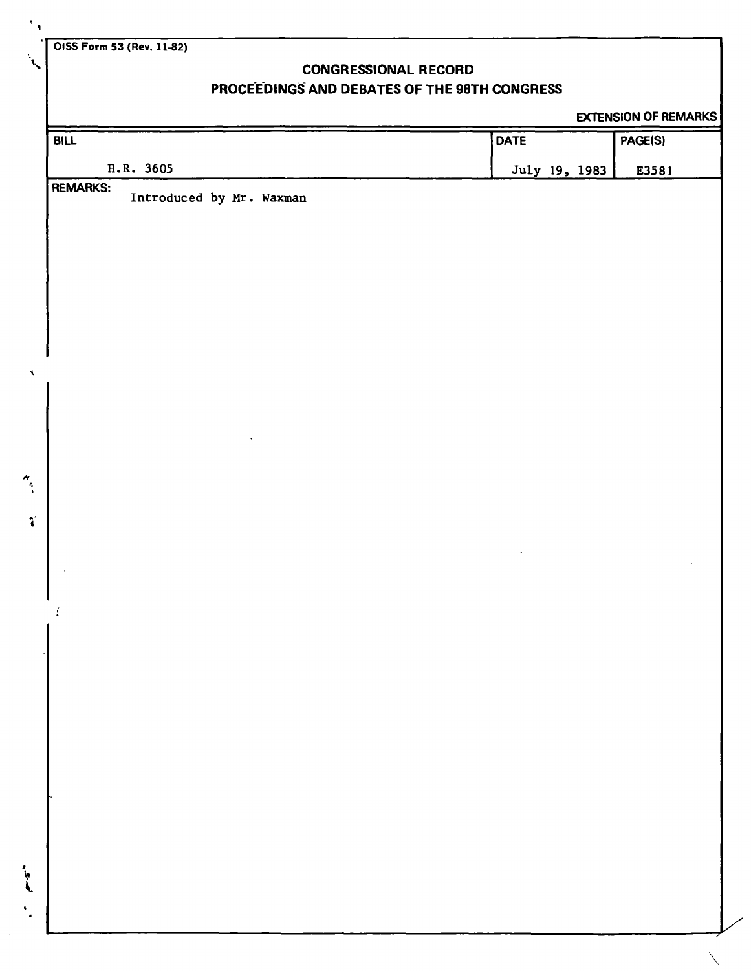**OISS Form 53 (Rev. 11-82)** 

**\** 

 $\blacktriangleleft$ 

 $\ddot{\cdot}$ 

 $\mathcal{F}_{\mathcal{A}}$ 

## **CONGRESSIONAL RECORD**

# **PROCEEDINGS AND DEBATES OF THE 98TH CONGRESS**

### EXTENSION OF REMARKS

| <b>BILL</b>                                 | <b>DATE</b>   | PAGE(S) |
|---------------------------------------------|---------------|---------|
| H.R. 3605                                   | July 19, 1983 | E3581   |
| <b>REMARKS:</b><br>Introduced by Mr. Waxman |               |         |
|                                             |               |         |
|                                             |               |         |
|                                             |               |         |
|                                             |               |         |
|                                             |               |         |
|                                             |               |         |
|                                             |               |         |
|                                             |               |         |
|                                             |               |         |
|                                             |               |         |
|                                             |               |         |
|                                             |               |         |
|                                             |               |         |
|                                             |               |         |
|                                             |               |         |
|                                             |               |         |
|                                             |               |         |
|                                             |               |         |
|                                             |               |         |
|                                             |               |         |
|                                             |               |         |
|                                             |               |         |
|                                             |               |         |
|                                             |               |         |
|                                             |               |         |
|                                             |               |         |
|                                             |               |         |
|                                             |               |         |
|                                             |               |         |